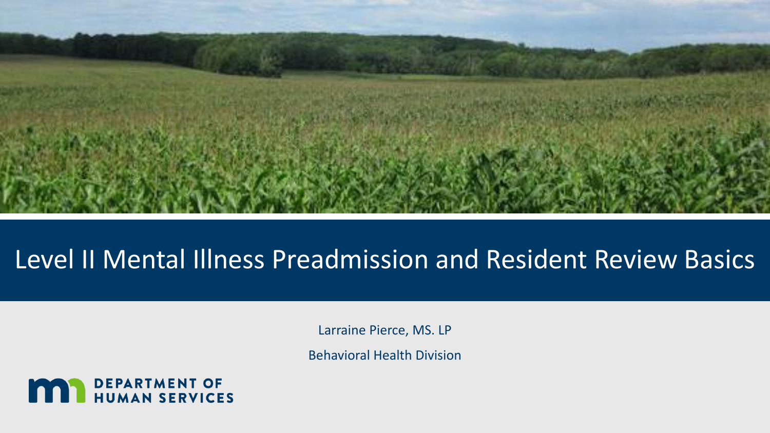

#### Level II Mental Illness Preadmission and Resident Review Basics

Larraine Pierce, MS. LP

Behavioral Health Division

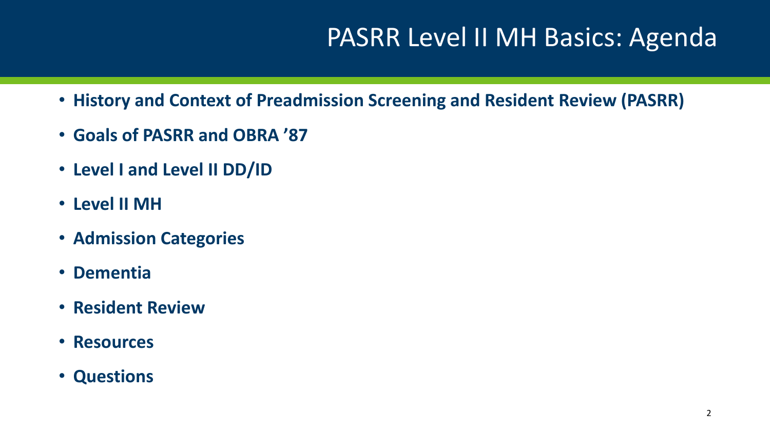## PASRR Level II MH Basics: Agenda

- **History and Context of Preadmission Screening and Resident Review (PASRR)**
- **Goals of PASRR and OBRA '87**
- **Level I and Level II DD/ID**
- **Level II MH**
- **Admission Categories**
- **Dementia**
- **Resident Review**
- **Resources**
- **Questions**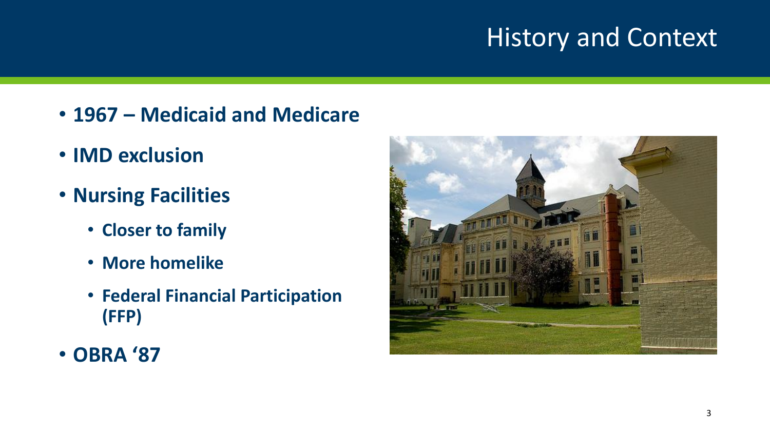## History and Context

- **1967 – Medicaid and Medicare**
- **IMD exclusion**
- **Nursing Facilities**
	- **Closer to family**
	- **More homelike**
	- **Federal Financial Participation (FFP)**
- **OBRA '87**

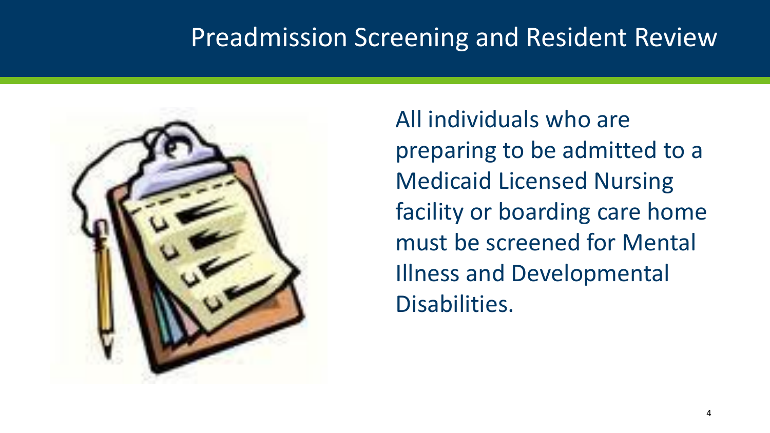#### Preadmission Screening and Resident Review



All individuals who are preparing to be admitted to a Medicaid Licensed Nursing facility or boarding care home must be screened for Mental Illness and Developmental Disabilities.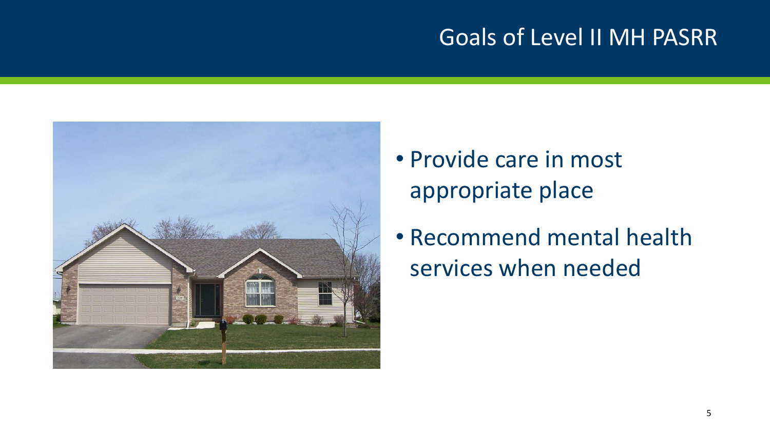#### Goals of Level II MH PASRR



- Provide care in most appropriate place
- Recommend mental health services when needed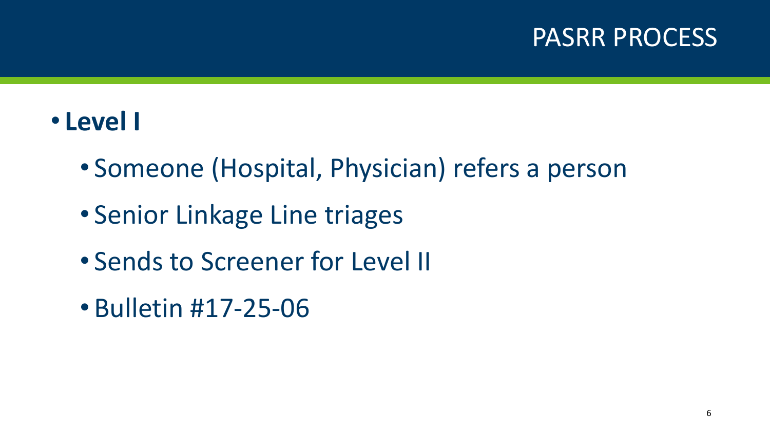#### PASRR PROCESS

#### • **Level I**

- Someone (Hospital, Physician) refers a person
- Senior Linkage Line triages
- Sends to Screener for Level II
- Bulletin #17-25-06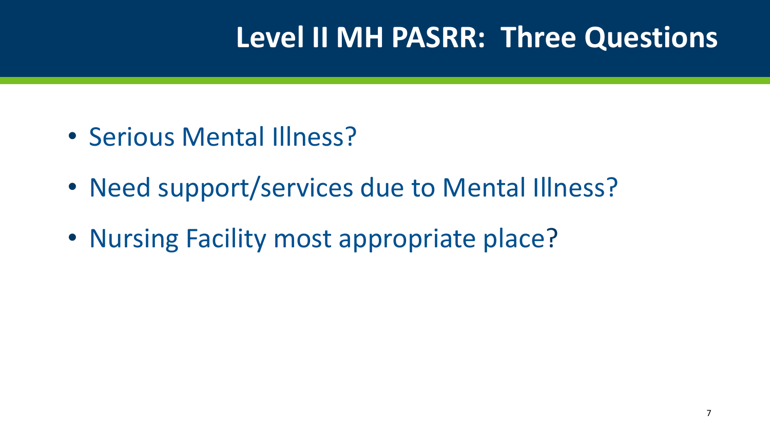# **Level II MH PASRR: Three Questions**

- Serious Mental Illness?
- Need support/services due to Mental Illness?
- Nursing Facility most appropriate place?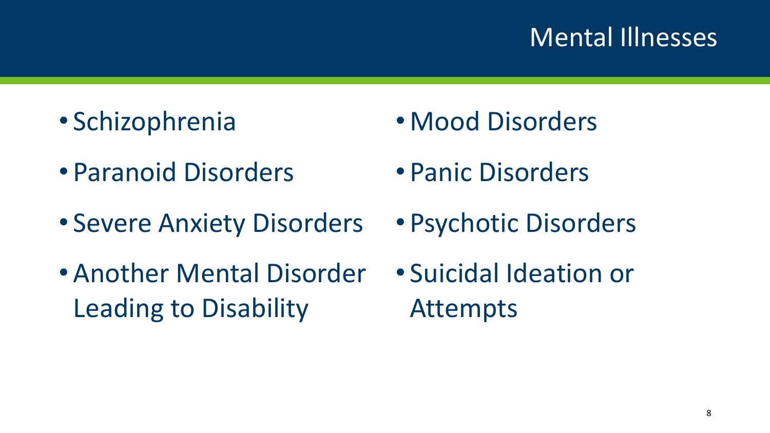#### Mental Illnesses

- Schizophrenia
- Paranoid Disorders
- Severe Anxiety Disorders
- Another Mental Disorder Leading to Disability
- Mood Disorders
- Panic Disorders
- Psychotic Disorders
- Suicidal Ideation or Attempts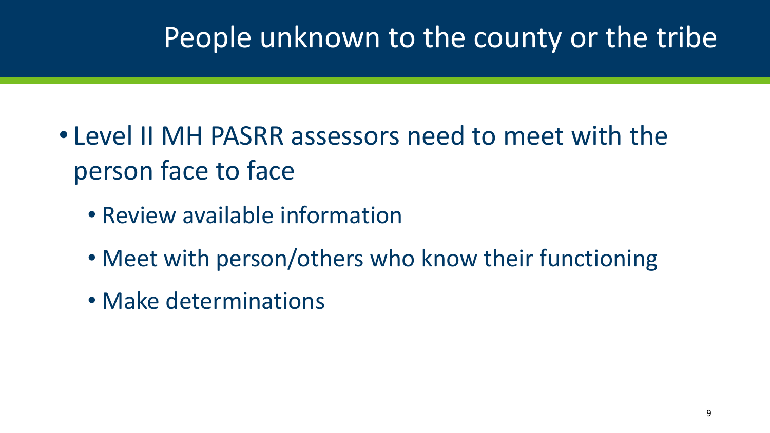# People unknown to the county or the tribe

- Level II MH PASRR assessors need to meet with the person face to face
	- Review available information
	- Meet with person/others who know their functioning
	- Make determinations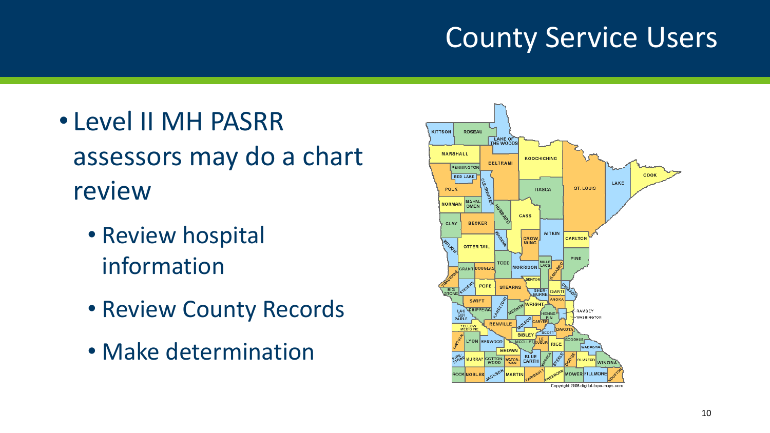# County Service Users

- Level II MH PASRR assessors may do a chart review
	- Review hospital information
	- Review County Records
	- Make determination

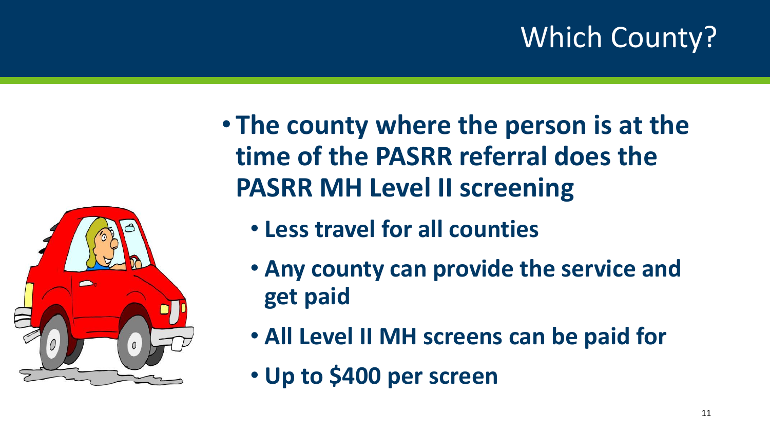# Which County?

• **The county where the person is at the time of the PASRR referral does the PASRR MH Level II screening**

- **Less travel for all counties**
- **Any county can provide the service and get paid**
- **All Level II MH screens can be paid for**
- **Up to \$400 per screen**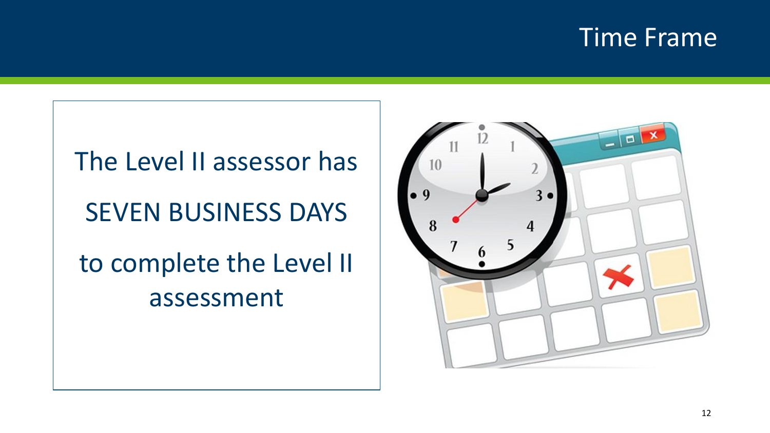#### Time Frame

# The Level II assessor has SEVEN BUSINESS DAYS to complete the Level II assessment

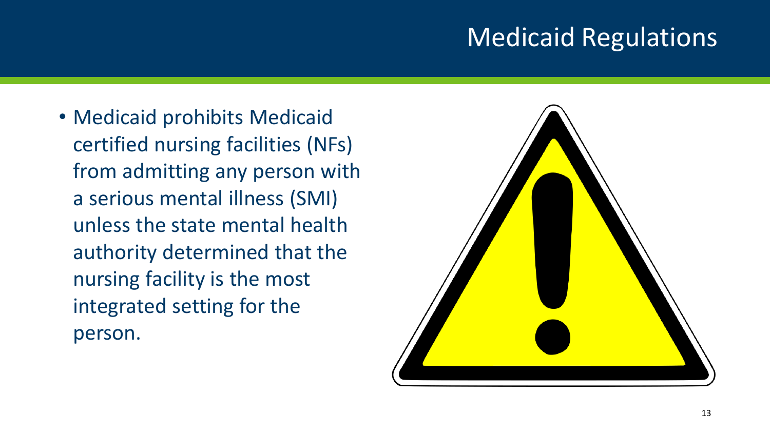### Medicaid Regulations

• Medicaid prohibits Medicaid certified nursing facilities (NFs) from admitting any person with a serious mental illness (SMI) unless the state mental health authority determined that the nursing facility is the most integrated setting for the person.

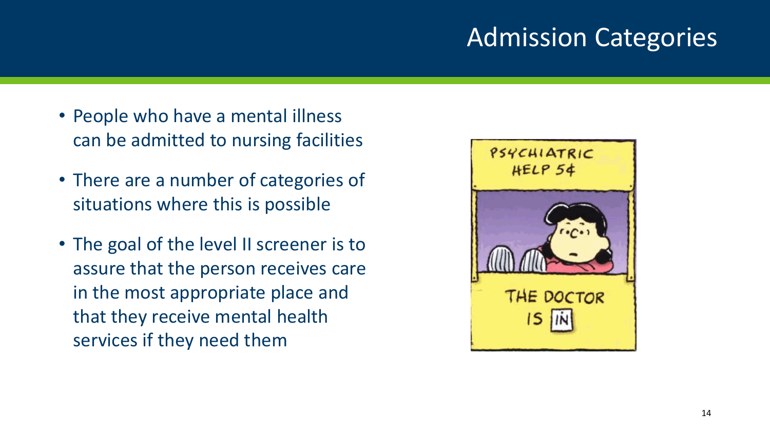### Admission Categories

- People who have a mental illness can be admitted to nursing facilities
- There are a number of categories of situations where this is possible
- The goal of the level II screener is to assure that the person receives care in the most appropriate place and that they receive mental health services if they need them

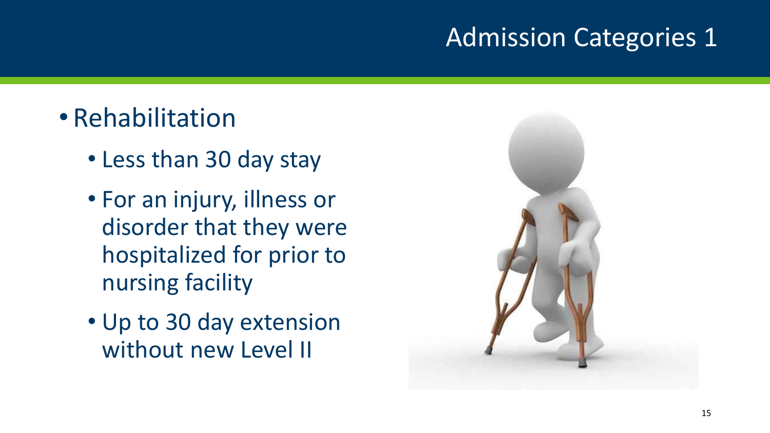#### Admission Categories 1

- Rehabilitation
	- Less than 30 day stay
	- For an injury, illness or disorder that they were hospitalized for prior to nursing facility
	- Up to 30 day extension without new Level II

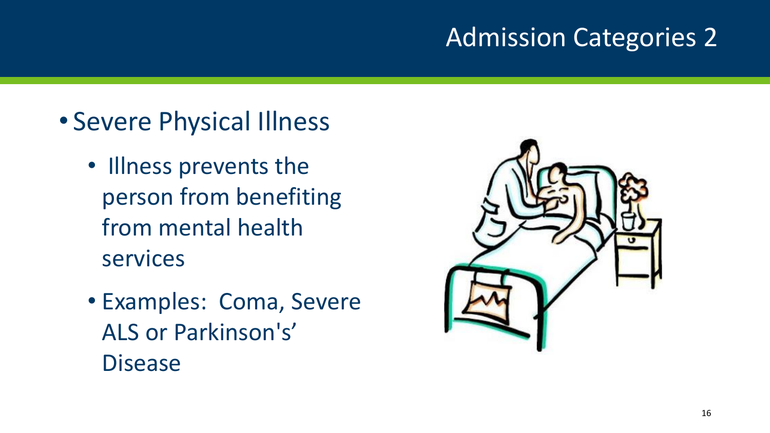#### Admission Categories 2

- Severe Physical Illness
	- Illness prevents the person from benefiting from mental health services
	- Examples: Coma, Severe ALS or Parkinson's' Disease

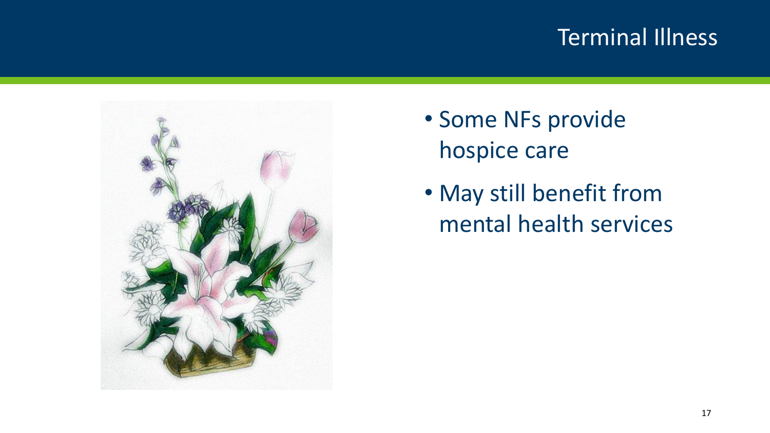#### Terminal Illness



- Some NFs provide hospice care
- May still benefit from mental health services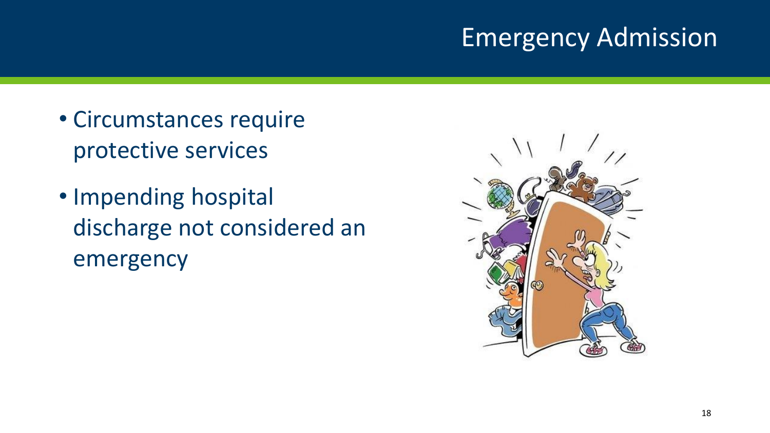### Emergency Admission

- Circumstances require protective services
- Impending hospital discharge not considered an emergency

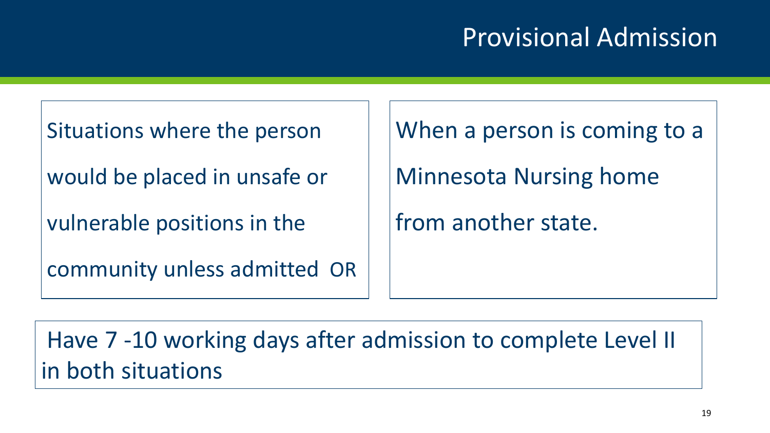## Provisional Admission

Situations where the person

would be placed in unsafe or

vulnerable positions in the

community unless admitted OR

When a person is coming to a

Minnesota Nursing home

from another state.

Have 7 -10 working days after admission to complete Level II in both situations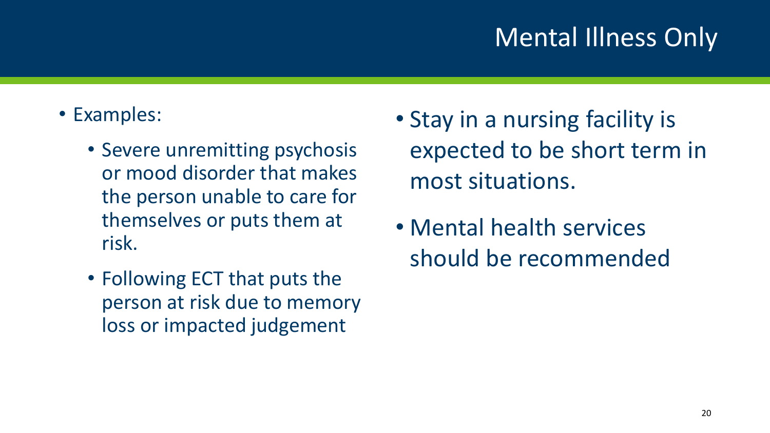## Mental Illness Only

- Examples:
	- Severe unremitting psychosis or mood disorder that makes the person unable to care for themselves or puts them at risk.
	- Following ECT that puts the person at risk due to memory loss or impacted judgement
- Stay in a nursing facility is expected to be short term in most situations.
- Mental health services should be recommended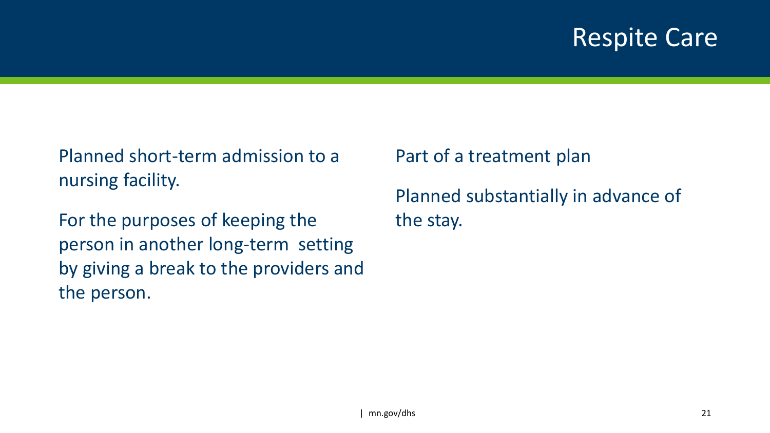#### Respite Care

Planned short-term admission to a nursing facility.

For the purposes of keeping the person in another long-term setting by giving a break to the providers and the person.

Part of a treatment plan

Planned substantially in advance of the stay.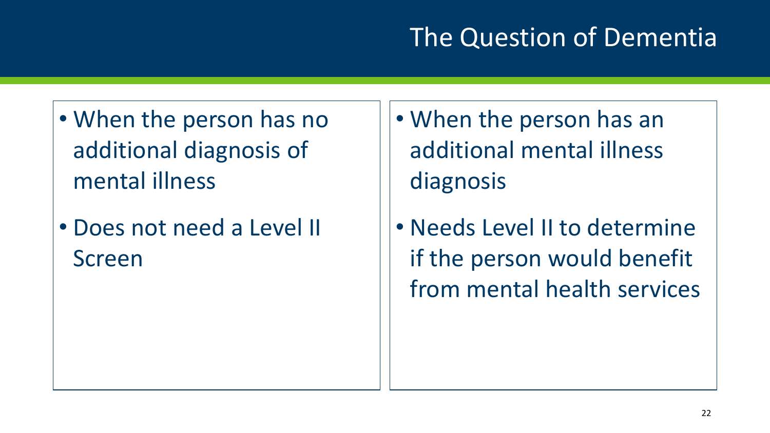## The Question of Dementia

- When the person has no additional diagnosis of mental illness
- Does not need a Level II Screen
- When the person has an additional mental illness diagnosis
- Needs Level II to determine if the person would benefit from mental health services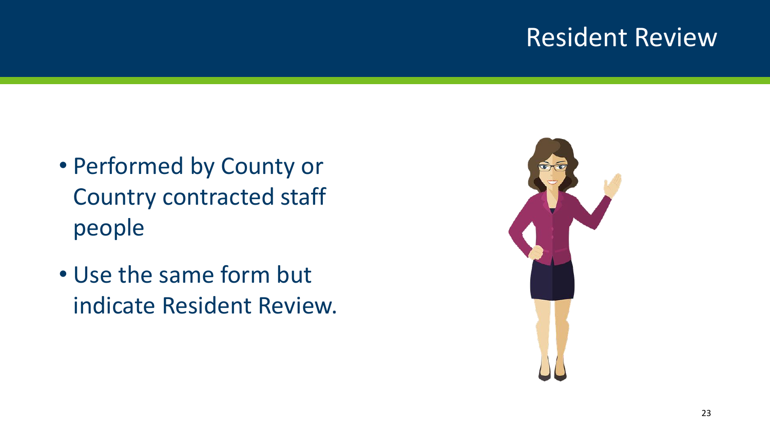#### Resident Review

- Performed by County or Country contracted staff people
- Use the same form but indicate Resident Review.

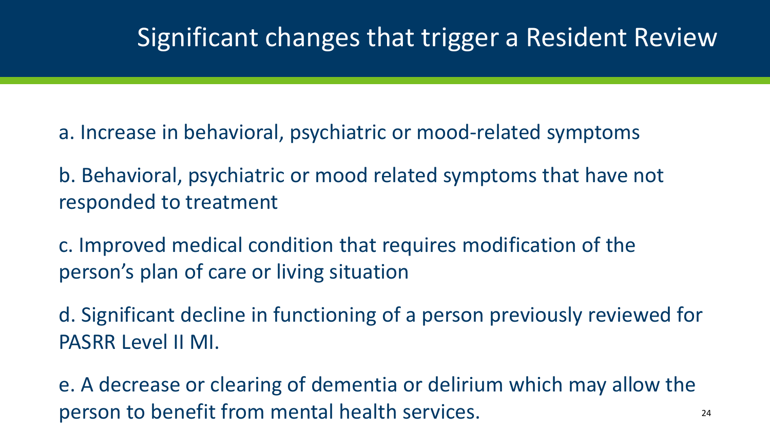#### Significant changes that trigger a Resident Review

a. Increase in behavioral, psychiatric or mood-related symptoms

b. Behavioral, psychiatric or mood related symptoms that have not responded to treatment

c. Improved medical condition that requires modification of the person's plan of care or living situation

d. Significant decline in functioning of a person previously reviewed for PASRR Level II MI.

e. A decrease or clearing of dementia or delirium which may allow the person to benefit from mental health services.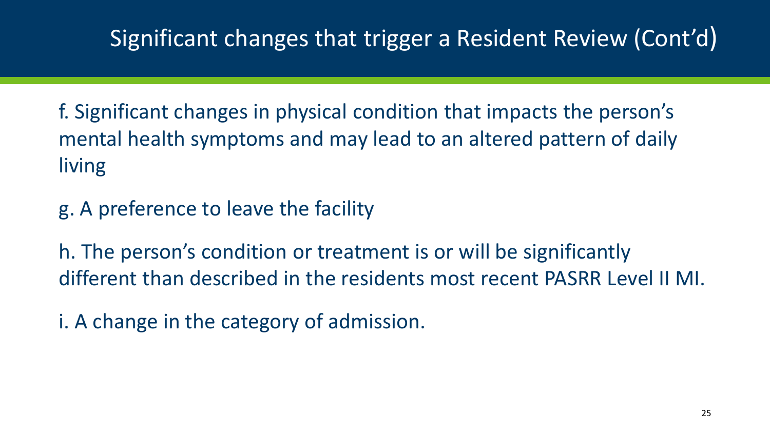#### Significant changes that trigger a Resident Review (Cont'd)

f. Significant changes in physical condition that impacts the person's mental health symptoms and may lead to an altered pattern of daily living

g. A preference to leave the facility

h. The person's condition or treatment is or will be significantly different than described in the residents most recent PASRR Level II MI.

i. A change in the category of admission.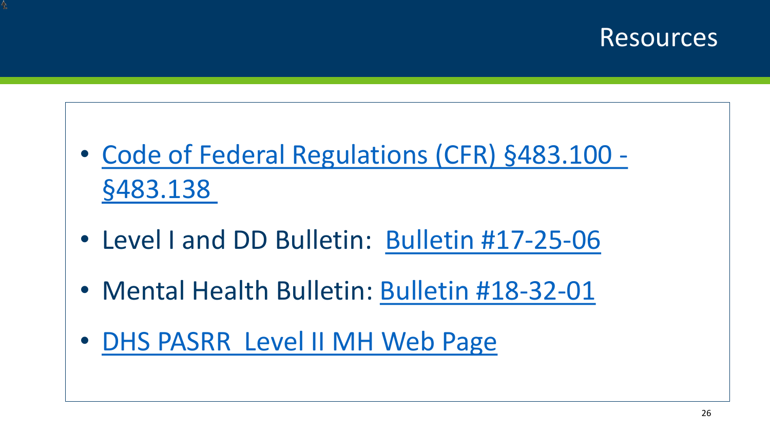#### Resources

- [Code of Federal Regulations \(CFR\) §483.100 -](https://www.ecfr.gov/cgi-bin/text-idx?SID=67194db8f7e83f2e8cc8da2517a72a7c&node=42:5.0.1.1.2.3&rgn=div6#se42.5.483_1102) §483.138
- Level I and DD Bulletin: [Bulletin #17-25-06](http://www.dhs.state.mn.us/main/idcplg?IdcService=GET_FILE&RevisionSelectionMethod=LatestReleased&noSaveAs=1&Rendition=Primary&allowInterrupt=1&dDocName=dhs-295530)
- Mental Health Bulletin: [Bulletin #18-32-01](http://www.dhs.state.mn.us/main/idcplg?IdcService=GET_FILE&RevisionSelectionMethod=LatestReleased&Rendition=Primary&allowInterrupt=1&noSaveAs=1&dDocName=dhs-298881)
- [DHS PASRR Level II MH Web Page](https://mn.gov/dhs/partners-and-providers/policies-procedures/adult-mental-health/pre-admission-screening-and-resident-review/)

Ł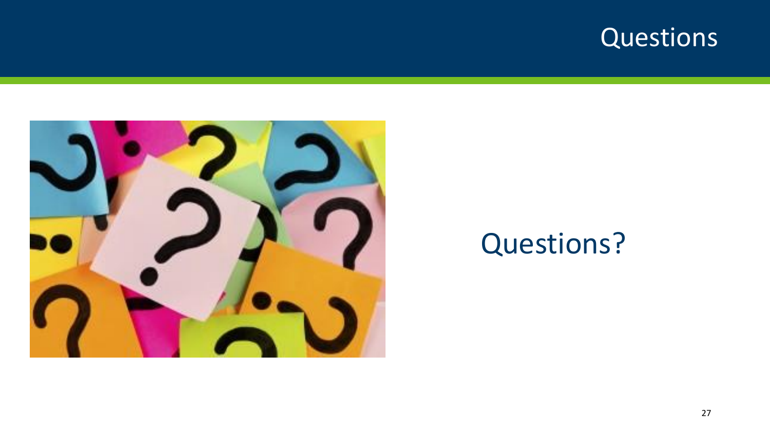### Questions



# Questions?